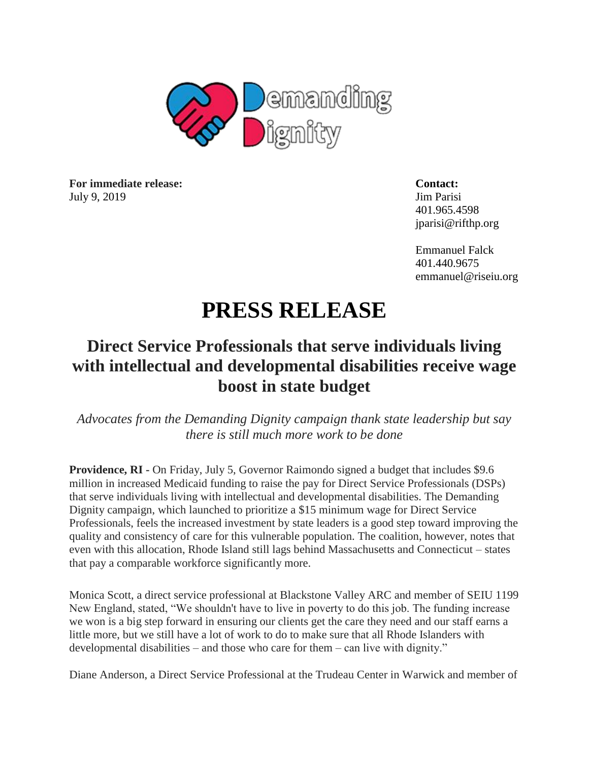

**For immediate release: Contact:** July 9, 2019 Jim Parisi

401.965.4598 jparisi@rifthp.org

Emmanuel Falck 401.440.9675 emmanuel@riseiu.org

## **PRESS RELEASE**

## **Direct Service Professionals that serve individuals living with intellectual and developmental disabilities receive wage boost in state budget**

*Advocates from the Demanding Dignity campaign thank state leadership but say there is still much more work to be done* 

**Providence, RI -** On Friday, July 5, Governor Raimondo signed a budget that includes \$9.6 million in increased Medicaid funding to raise the pay for Direct Service Professionals (DSPs) that serve individuals living with intellectual and developmental disabilities. The Demanding Dignity campaign, which launched to prioritize a \$15 minimum wage for Direct Service Professionals, feels the increased investment by state leaders is a good step toward improving the quality and consistency of care for this vulnerable population. The coalition, however, notes that even with this allocation, Rhode Island still lags behind Massachusetts and Connecticut – states that pay a comparable workforce significantly more.

Monica Scott, a direct service professional at Blackstone Valley ARC and member of SEIU 1199 New England, stated, "We shouldn't have to live in poverty to do this job. The funding increase we won is a big step forward in ensuring our clients get the care they need and our staff earns a little more, but we still have a lot of work to do to make sure that all Rhode Islanders with developmental disabilities – and those who care for them – can live with dignity."

Diane Anderson, a Direct Service Professional at the Trudeau Center in Warwick and member of